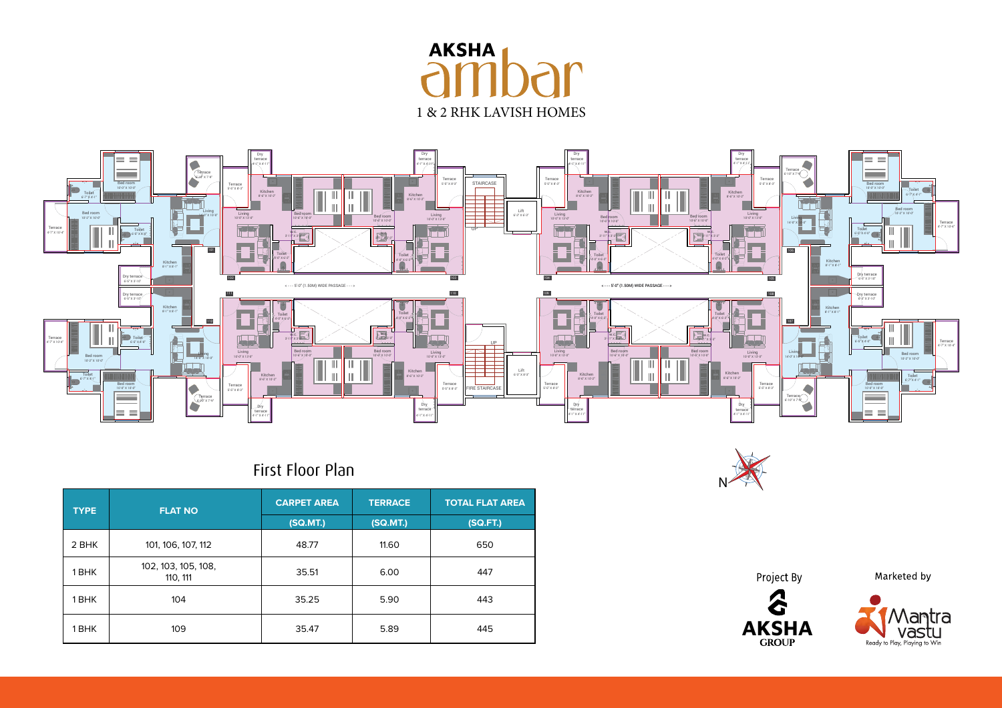## **AKSHA** 1 & 2 RHK LAVISH HOMES



## First Floor Plan

| <b>TYPE</b> | <b>FLAT NO</b>                  | <b>CARPET AREA</b> | <b>TERRACE</b> | <b>TOTAL FLAT AREA</b> |
|-------------|---------------------------------|--------------------|----------------|------------------------|
|             |                                 | (SQ.MT.)           | (SQ.MT.)       | (SQ.FT.)               |
| 2 BHK       | 101, 106, 107, 112              | 48.77              | 11.60          | 650                    |
| 1 BHK       | 102, 103, 105, 108,<br>110, 111 | 35.51              | 6.00           | 447                    |
| 1 BHK       | 104                             | 35.25              | 5.90           | 443                    |
| 1 BHK       | 109                             | 35.47              | 5.89           | 445                    |



Project By



Marketed by